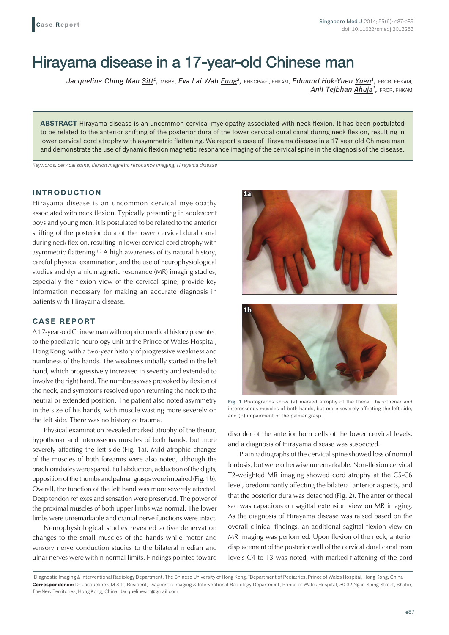# Hirayama disease in a 17-year-old Chinese man

Jacqueline Ching Man Sitt<sup>1</sup>, MBBS, Eva Lai Wah Fung<sup>2</sup>, FHKCPaed, FHKAM, Edmund Hok-Yuen Yuen<sup>1</sup>, FRCR, FHKAM, *Anil Tejbhan Ahuja1,* FRCR, FHKAM

**ABSTRACT** Hirayama disease is an uncommon cervical myelopathy associated with neck flexion. It has been postulated to be related to the anterior shifting of the posterior dura of the lower cervical dural canal during neck flexion, resulting in lower cervical cord atrophy with asymmetric flattening. We report a case of Hirayama disease in a 17-year-old Chinese man and demonstrate the use of dynamic flexion magnetic resonance imaging of the cervical spine in the diagnosisof the disease.

*Keywords: cervical spine, flexion magnetic resonance imaging, Hirayama disease*

### **INTRODUCTION**

Hirayama disease is an uncommon cervical myelopathy associated with neck flexion. Typically presenting in adolescent boys and young men, it is postulated to be related to the anterior shifting of the posterior dura of the lower cervical dural canal during neck flexion, resulting in lower cervical cord atrophy with asymmetric flattening.<sup>(1)</sup> A high awareness of its natural history, careful physical examination, and the use of neurophysiological studies and dynamic magnetic resonance (MR) imaging studies, especially the flexion view of the cervical spine, provide key information necessary for making an accurate diagnosis in patients with Hirayama disease.

### **CASE REPORT**

A 17-year-old Chinese man with no prior medical history presented to the paediatric neurology unit at the Prince of Wales Hospital, Hong Kong, with a two-year history of progressive weakness and numbness of the hands. The weakness initially started in the left hand, which progressively increased in severity and extended to involve the right hand. The numbness was provoked by flexion of the neck, and symptoms resolved upon returning the neck to the neutral or extended position. The patient also noted asymmetry in the size of his hands, with muscle wasting more severely on the left side. There was no history of trauma.

Physical examination revealed marked atrophy of the thenar, hypothenar and interosseous muscles of both hands, but more severely affecting the left side (Fig. 1a). Mild atrophic changes of the muscles of both forearms were also noted, although the brachioradiales were spared. Full abduction, adduction of the digits, opposition of the thumbs and palmar grasps were impaired (Fig. 1b). Overall, the function of the left hand was more severely affected. Deep tendon reflexes and sensation were preserved. The power of the proximal muscles of both upper limbs was normal. The lower limbs were unremarkable and cranial nerve functions were intact.

Neurophysiological studies revealed active denervation changes to the small muscles of the hands while motor and sensory nerve conduction studies to the bilateral median and ulnar nerves were within normal limits. Findings pointed toward





**Fig. 1** Photographs show (a) marked atrophy of the thenar, hypothenar and interosseous muscles of both hands, but more severely affecting the left side, and (b) impairment of the palmar grasp.

disorder of the anterior horn cells of the lower cervical levels, and a diagnosis of Hirayama disease was suspected.

Plain radiographs of the cervical spine showed loss of normal lordosis, but were otherwise unremarkable. Non-flexion cervical T2-weighted MR imaging showed cord atrophy at the C5-C6 level, predominantly affecting the bilateral anterior aspects, and that the posterior dura was detached (Fig. 2). The anterior thecal sac was capacious on sagittal extension view on MR imaging. As the diagnosis of Hirayama disease was raised based on the overall clinical findings, an additional sagittal flexion view on MR imaging was performed. Upon flexion of the neck, anterior displacement of the posterior wall of the cervical dural canal from levels C4 to T3 was noted, with marked flattening of the cord

 $^{\rm 1}$ Diagnostic Imaging & Interventional Radiology Department, The Chinese University of Hong Kong,  $^{\rm 2}$ Department of Pediatrics, Prince of Wales Hospital, Hong Kong, China **Correspondence:** Dr Jacqueline CM Sitt, Resident, Diagnostic Imaging & Interventional Radiology Department, Prince of Wales Hospital, 30-32 Ngan Shing Street, Shatin, The New Territories, Hong Kong, China. Jacquelinesitt@gmail.com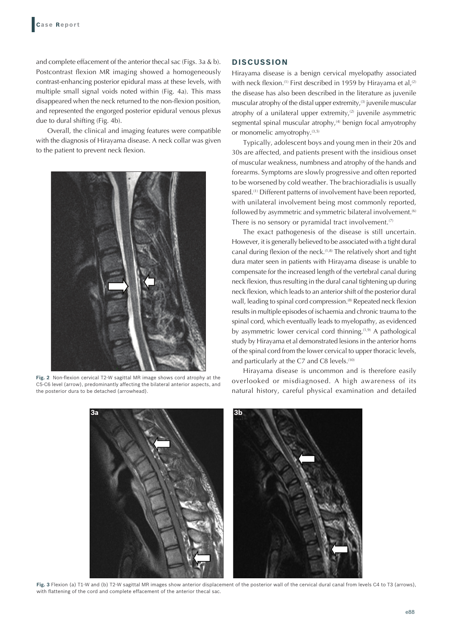and complete effacement of the anterior thecal sac (Figs. 3a & b). Postcontrast flexion MR imaging showed a homogeneously contrast-enhancing posterior epidural mass at these levels, with multiple small signal voids noted within (Fig. 4a). This mass disappeared when the neck returned to the non-flexion position, and represented the engorged posterior epidural venous plexus due to dural shifting (Fig. 4b).

Overall, the clinical and imaging features were compatible with the diagnosis of Hirayama disease. A neck collar was given to the patient to prevent neck flexion.



**Fig. 2** Non-flexion cervical T2-W sagittal MR image shows cord atrophy at the C5-C6 level (arrow), predominantly affecting the bilateral anterior aspects, and the posterior dura to be detached (arrowhead).

## **DISCUSSION**

Hirayama disease is a benign cervical myelopathy associated with neck flexion.<sup>(1)</sup> First described in 1959 by Hirayama et al,<sup>(2)</sup> the disease has also been described in the literature as juvenile muscular atrophy of the distal upper extremity, $(3)$  juvenile muscular atrophy of a unilateral upper extremity, $(2)$  juvenile asymmetric segmental spinal muscular atrophy,<sup>(4)</sup> benign focal amyotrophy or monomelic amyotrophy.<sup>(3,5)</sup>

Typically, adolescent boys and young men in their 20s and 30s are affected, and patients present with the insidious onset of muscular weakness, numbness and atrophy of the hands and forearms. Symptoms are slowly progressive and often reported to be worsened by cold weather. The brachioradialis is usually spared.<sup>(1)</sup> Different patterns of involvement have been reported, with unilateral involvement being most commonly reported, followed by asymmetric and symmetric bilateral involvement.<sup>(6)</sup> There is no sensory or pyramidal tract involvement. $(7)$ 

The exact pathogenesis of the disease is still uncertain. However, it is generally believed to be associated with a tight dural canal during flexion of the neck.(1,8) The relatively short and tight dura mater seen in patients with Hirayama disease is unable to compensate for the increased length of the vertebral canal during neck flexion, thus resulting in the dural canal tightening up during neck flexion, which leads to an anterior shift of the posterior dural wall, leading to spinal cord compression.<sup>(8)</sup> Repeated neck flexion results in multiple episodes of ischaemia and chronic trauma to the spinal cord, which eventually leads to myelopathy, as evidenced by asymmetric lower cervical cord thinning.<sup>(1,9)</sup> A pathological study by Hirayama et al demonstrated lesions in the anterior horns of the spinal cord from the lower cervical to upper thoracic levels, and particularly at the C7 and C8 levels.<sup>(10)</sup>

Hirayama disease is uncommon and is therefore easily overlooked or misdiagnosed. A high awareness of its natural history, careful physical examination and detailed



**Fig. 3** Flexion (a) T1-W and (b) T2-W sagittal MR images show anterior displacement of the posterior wall of the cervical dural canal from levels C4 to T3 (arrows), with flattening of the cord and complete effacement of the anterior thecal sac.